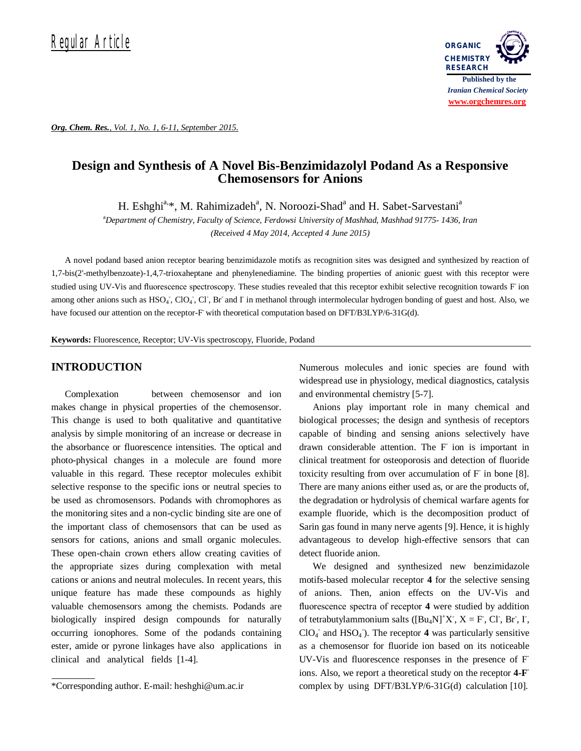

*Org. Chem. Res., Vol. 1, No. 1, 6-11, September 2015.*

# **Design and Synthesis of A Novel Bis-Benzimidazolyl Podand As a Responsive Chemosensors for Anions**

H. Eshghi<sup>a,\*</sup>, M. Rahimizadeh<sup>a</sup>, N. Noroozi-Shad<sup>a</sup> and H. Sabet-Sarvestani<sup>a</sup>

<sup>a</sup>*Department of Chemistry, Faculty of Science, Ferdowsi University of Mashhad, Mashhad 91775- 1436, Iran (Received 4 May 2014, Accepted 4 June 2015)*

A novel podand based anion receptor bearing benzimidazole motifs as recognition sites was designed and synthesized by reaction of 1,7-bis(2'-methylbenzoate)-1,4,7-trioxaheptane and phenylenediamine. The binding properties of anionic guest with this receptor were studied using UV-Vis and fluorescence spectroscopy. These studies revealed that this receptor exhibit selective recognition towards F ion among other anions such as HSO<sub>4</sub>, ClO<sub>4</sub>, Cl<sub>7</sub>, Br and I in methanol through intermolecular hydrogen bonding of guest and host. Also, we have focused our attention on the receptor-F with theoretical computation based on DFT/B3LYP/6-31G(d).

**Keywords:** Fluorescence, Receptor; UV-Vis spectroscopy, Fluoride, Podand

# **INTRODUCTION**

Complexation between chemosensor and ion makes change in physical properties of the chemosensor. This change is used to both qualitative and quantitative analysis by simple monitoring of an increase or decrease in the absorbance or fluorescence intensities. The optical and photo-physical changes in a molecule are found more valuable in this regard. These receptor molecules exhibit selective response to the specific ions or neutral species to be used as chromosensors. Podands with chromophores as the monitoring sites and a non-cyclic binding site are one of the important class of chemosensors that can be used as sensors for cations, anions and small organic molecules. These open-chain crown ethers allow creating cavities of the appropriate sizes during complexation with metal cations or anions and neutral molecules. In recent years, this unique feature has made these compounds as highly valuable chemosensors among the chemists. Podands are biologically inspired design compounds for naturally occurring ionophores. Some of the podands containing ester, amide or pyrone linkages have also applications in clinical and analytical fields [1-4].

Numerous molecules and ionic species are found with widespread use in physiology, medical diagnostics, catalysis and environmental chemistry [5-7].

Anions play important role in many chemical and biological processes; the design and synthesis of receptors capable of binding and sensing anions selectively have drawn considerable attention. The F-ion is important in clinical treatment for osteoporosis and detection of fluoride toxicity resulting from over accumulation of F in bone [8]. There are many anions either used as, or are the products of, the degradation or hydrolysis of chemical warfare agents for example fluoride, which is the decomposition product of Sarin gas found in many nerve agents [9]. Hence, it is highly advantageous to develop high-effective sensors that can detect fluoride anion.

We designed and synthesized new benzimidazole motifs-based molecular receptor **4** for the selective sensing of anions. Then, anion effects on the UV-Vis and fluorescence spectra of receptor **4** were studied by addition of tetrabutylammonium salts  $([Bu<sub>4</sub>N]<sup>+</sup>X<sub>l</sub>, X = F, Cl<sub>l</sub>, Br<sub>l</sub>, I<sub>l</sub>,$ ClO<sub>4</sub><sup>-</sup> and HSO<sub>4</sub><sup>-</sup>). The receptor 4 was particularly sensitive as a chemosensor for fluoride ion based on its noticeable UV-Vis and fluorescence responses in the presence of Fions. Also, we report a theoretical study on the receptor **4-F**  complex by using DFT/B3LYP/6-31G(d) calculation [10].

<sup>\*</sup>Corresponding author. E-mail: heshghi@um.ac.ir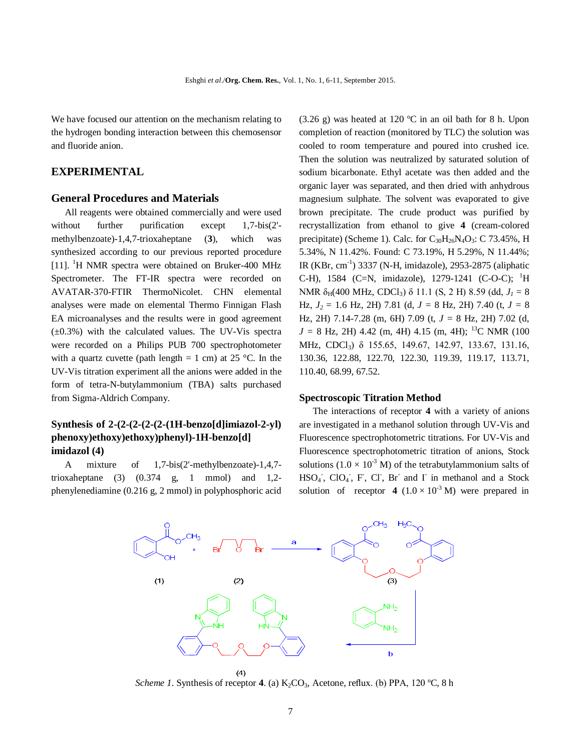We have focused our attention on the mechanism relating to the hydrogen bonding interaction between this chemosensor and fluoride anion.

# **EXPERIMENTAL**

## **General Procedures and Materials**

All reagents were obtained commercially and were used without further purification except 1,7-bis(2'methylbenzoate)-1,4,7-trioxaheptane (**3**), which was synthesized according to our previous reported procedure [11]. <sup>1</sup>H NMR spectra were obtained on Bruker-400 MHz Spectrometer. The FT-IR spectra were recorded on AVATAR-370-FTIR ThermoNicolet. CHN elemental analyses were made on elemental Thermo Finnigan Flash EA microanalyses and the results were in good agreement  $(\pm 0.3\%)$  with the calculated values. The UV-Vis spectra were recorded on a Philips PUB 700 spectrophotometer with a quartz cuvette (path length  $= 1$  cm) at 25 °C. In the UV-Vis titration experiment all the anions were added in the form of tetra-N-butylammonium (TBA) salts purchased from Sigma-Aldrich Company.

# **Synthesis of 2-(2-(2-(2-(2-(1H-benzo[d]imiazol-2-yl) phenoxy)ethoxy)ethoxy)phenyl)-1H-benzo[d] imidazol (4)**

A mixture of 1,7-bis(2'-methylbenzoate)-1,4,7 trioxaheptane (3)  $(0.374 \text{ g}, 1 \text{ mmol})$  and  $1,2$ phenylenediamine (0.216 g, 2 mmol) in polyphosphoric acid (3.26 g) was heated at 120 ºC in an oil bath for 8 h. Upon completion of reaction (monitored by TLC) the solution was cooled to room temperature and poured into crushed ice. Then the solution was neutralized by saturated solution of sodium bicarbonate. Ethyl acetate was then added and the organic layer was separated, and then dried with anhydrous magnesium sulphate. The solvent was evaporated to give brown precipitate. The crude product was purified by recrystallization from ethanol to give **4** (cream-colored precipitate) (Scheme 1). Calc. for  $C_{30}H_{26}N_4O_3$ : C 73.45%, H 5.34%, N 11.42%. Found: C 73.19%, H 5.29%, N 11.44%; IR (KBr, cm-1 ) 3337 (N-H, imidazole), 2953-2875 (aliphatic C-H), 1584 (C=N, imidazole), 1279-1241 (C-O-C); <sup>1</sup>H NMR δH(400 MHz, CDCl3) δ 11.1 (S, 2 H) 8.59 (dd, *J<sup>1</sup> =* 8 Hz,  $J_2 = 1.6$  Hz, 2H) 7.81 (d,  $J = 8$  Hz, 2H) 7.40 (t,  $J = 8$ Hz, 2H) 7.14-7.28 (m, 6H) 7.09 (t, *J =* 8 Hz, 2H) 7.02 (d,  $J = 8$  Hz, 2H) 4.42 (m, 4H) 4.15 (m, 4H); <sup>13</sup>C NMR (100 MHz, CDCl<sub>3</sub>) δ 155.65, 149.67, 142.97, 133.67, 131.16, 130.36, 122.88, 122.70, 122.30, 119.39, 119.17, 113.71, 110.40, 68.99, 67.52.

### **Spectroscopic Titration Method**

The interactions of receptor **4** with a variety of anions are investigated in a methanol solution through UV-Vis and Fluorescence spectrophotometric titrations. For UV-Vis and Fluorescence spectrophotometric titration of anions, Stock solutions  $(1.0 \times 10^{-3} \text{ M})$  of the tetrabutylammonium salts of  $HSO<sub>4</sub>$ , ClO<sub>4</sub>, F, Cl, Br and I in methanol and a Stock solution of receptor **4**  $(1.0 \times 10^{-3} \text{ M})$  were prepared in



*Scheme 1*. Synthesis of receptor **4**. (a)  $K_2CO_3$ , Acetone, reflux. (b) PPA, 120 °C, 8 h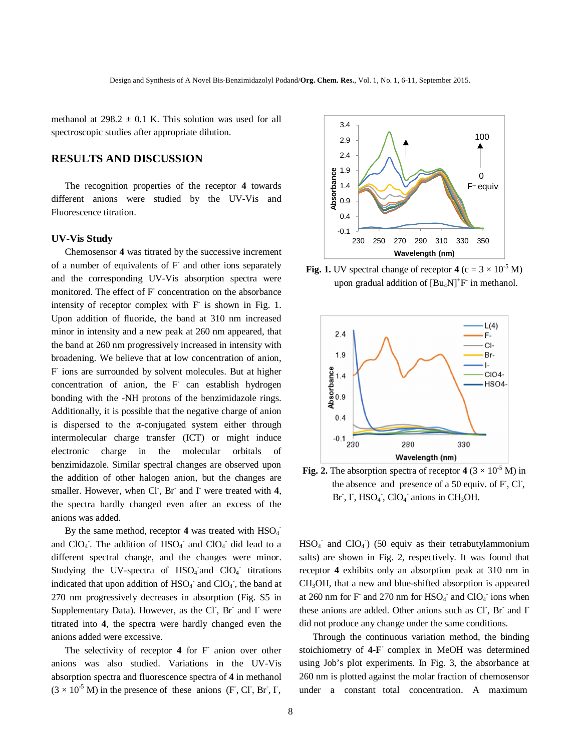methanol at  $298.2 \pm 0.1$  K. This solution was used for all spectroscopic studies after appropriate dilution.

# **RESULTS AND DISCUSSION**

The recognition properties of the receptor **4** towards different anions were studied by the UV-Vis and Fluorescence titration.

#### **UV-Vis Study**

Chemosensor **4** was titrated by the successive increment of a number of equivalents of F and other ions separately and the corresponding UV-Vis absorption spectra were monitored. The effect of F concentration on the absorbance intensity of receptor complex with F is shown in Fig. 1. Upon addition of fluoride, the band at 310 nm increased minor in intensity and a new peak at 260 nm appeared, that the band at 260 nm progressively increased in intensity with broadening. We believe that at low concentration of anion, F ions are surrounded by solvent molecules. But at higher concentration of anion, the F can establish hydrogen bonding with the -NH protons of the benzimidazole rings. Additionally, it is possible that the negative charge of anion is dispersed to the  $\pi$ -conjugated system either through intermolecular charge transfer (ICT) or might induce electronic charge in the molecular orbitals of benzimidazole. Similar spectral changes are observed upon the addition of other halogen anion, but the changes are smaller. However, when Cl<sup>-</sup>, Br<sup>-</sup> and I<sup>-</sup> were treated with 4, the spectra hardly changed even after an excess of the anions was added.

By the same method, receptor  $4$  was treated with  $HSO_4^$ and  $ClO<sub>4</sub>$ . The addition of  $HSO<sub>4</sub>$  and  $ClO<sub>4</sub>$  did lead to a different spectral change, and the changes were minor. Studying the UV-spectra of  $HSO_4$  and  $ClO_4$  titrations indicated that upon addition of  $HSO<sub>4</sub>$  and  $ClO<sub>4</sub>$ , the band at 270 nm progressively decreases in absorption (Fig. S5 in Supplementary Data). However, as the Cl<sup>-</sup>, Br<sup>-</sup> and I<sup>-</sup> were titrated into **4**, the spectra were hardly changed even the anions added were excessive.

The selectivity of receptor 4 for F<sup>-</sup> anion over other anions was also studied. Variations in the UV-Vis absorption spectra and fluorescence spectra of **4** in methanol  $(3 \times 10^{-5} \text{ M})$  in the presence of these anions (F, Cl, Br, I,



**Fig. 1.** UV spectral change of receptor  $4 (c = 3 \times 10^{-5} M)$ upon gradual addition of  $[Bu_4N]^+F$  in methanol.



**Fig. 2.** The absorption spectra of receptor  $4(3 \times 10^{-5} \text{ M})$  in the absence and presence of a 50 equiv. of  $F$ , Cl, Br  $\overline{I}$ ,  $\overline{I}$ ,  $HSO_4$ ,  $ClO_4$  anions in CH<sub>3</sub>OH.

 $HSO<sub>4</sub>$  and  $ClO<sub>4</sub>$ ) (50 equiv as their tetrabutylammonium salts) are shown in Fig. 2, respectively. It was found that receptor **4** exhibits only an absorption peak at 310 nm in CH3OH, that a new and blue-shifted absorption is appeared at 260 nm for F and 270 nm for  $HSO<sub>4</sub>$  and  $ClO<sub>4</sub>$  ions when these anions are added. Other anions such as Cl<sup>-</sup>, Br<sup>-</sup> and I<sup>-</sup> did not produce any change under the same conditions.

Through the continuous variation method, the binding stoichiometry of **4**-**F -** complex in MeOH was determined using Job's plot experiments. In Fig. 3, the absorbance at 260 nm is plotted against the molar fraction of chemosensor under a constant total concentration. A maximum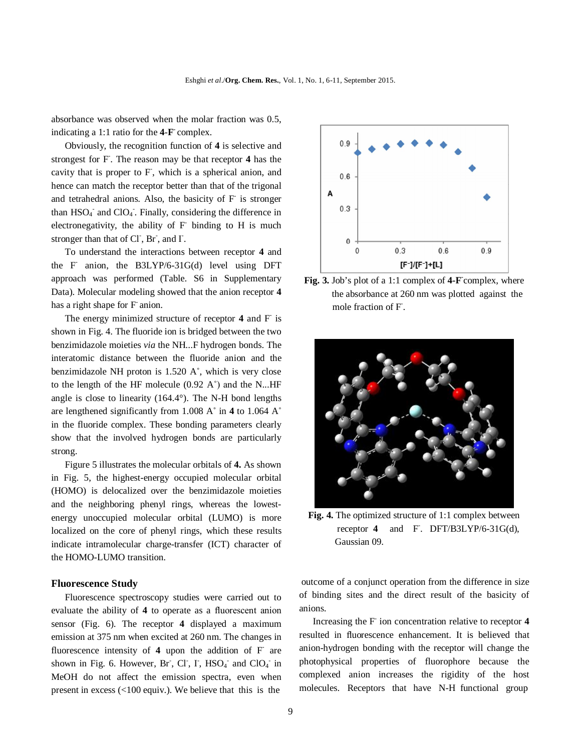absorbance was observed when the molar fraction was 0.5, indicating a 1:1 ratio for the **4**-**F -** complex.

Obviously, the recognition function of **4** is selective and strongest for F- . The reason may be that receptor **4** has the cavity that is proper to F, which is a spherical anion, and hence can match the receptor better than that of the trigonal and tetrahedral anions. Also, the basicity of F is stronger than  $HSO<sub>4</sub>$  and  $ClO<sub>4</sub>$ . Finally, considering the difference in electronegativity, the ability of F binding to H is much stronger than that of Cl<sup>-</sup>, Br<sup>-</sup>, and I<sup>-</sup>.

To understand the interactions between receptor **4** and the F anion, the B3LYP/6-31G(d) level using DFT approach was performed (Table. S6 in Supplementary Data). Molecular modeling showed that the anion receptor **4** has a right shape for F anion.

The energy minimized structure of receptor 4 and F is shown in Fig. 4. The fluoride ion is bridged between the two benzimidazole moieties *via* the NH...F hydrogen bonds. The interatomic distance between the fluoride anion and the benzimidazole NH proton is 1.520 A˚, which is very close to the length of the HF molecule  $(0.92 \text{ A}^{\degree})$  and the N...HF angle is close to linearity (164.4°). The N-H bond lengths are lengthened significantly from 1.008 A˚ in **4** to 1.064 A˚ in the fluoride complex. These bonding parameters clearly show that the involved hydrogen bonds are particularly strong.

Figure 5 illustrates the molecular orbitals of **4.** As shown in Fig. 5, the highest-energy occupied molecular orbital (HOMO) is delocalized over the benzimidazole moieties and the neighboring phenyl rings, whereas the lowestenergy unoccupied molecular orbital (LUMO) is more localized on the core of phenyl rings, which these results indicate intramolecular charge-transfer (ICT) character of the HOMO-LUMO transition.

### **Fluorescence Study**

Fluorescence spectroscopy studies were carried out to evaluate the ability of **4** to operate as a fluorescent anion sensor (Fig. 6). The receptor **4** displayed a maximum emission at 375 nm when excited at 260 nm. The changes in fluorescence intensity of 4 upon the addition of F are shown in Fig. 6. However, Br, Cl, I, HSO<sub>4</sub> and ClO<sub>4</sub> in MeOH do not affect the emission spectra, even when present in excess (<100 equiv.). We believe that this is the



Fig. 3. Job's plot of a 1:1 complex of 4-F complex, where the absorbance at 260 nm was plotted against the mole fraction of F- .



**Fig. 4.** The optimized structure of 1:1 complex between receptor 4 - . DFT/B3LYP/6-31G(d), Gaussian 09.

 outcome of a conjunct operation from the difference in size of binding sites and the direct result of the basicity of anions.

Increasing the F- ion concentration relative to receptor **4** resulted in fluorescence enhancement. It is believed that anion-hydrogen bonding with the receptor will change the photophysical properties of fluorophore because the complexed anion increases the rigidity of the host molecules. Receptors that have N-H functional group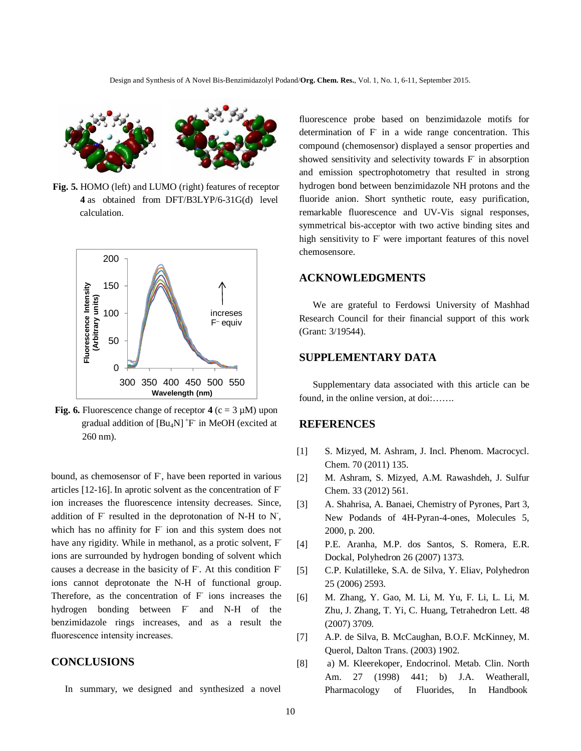

**Fig. 5.** HOMO (left) and LUMO (right) features of receptor  **4** as obtained from DFT/B3LYP/6-31G(d) level calculation.



**Fig. 6.** Fluorescence change of receptor  $4$  (c = 3  $\mu$ M) upon gradual addition of  $[Bu_4N]^+F$  in MeOH (excited at 260 nm).

bound, as chemosensor of F, have been reported in various articles [12-16]. In aprotic solvent as the concentration of Fion increases the fluorescence intensity decreases. Since, addition of  $F$  resulted in the deprotonation of N-H to N<sup>-</sup>, which has no affinity for F ion and this system does not have any rigidity. While in methanol, as a protic solvent, F ions are surrounded by hydrogen bonding of solvent which causes a decrease in the basicity of F. At this condition F ions cannot deprotonate the N-H of functional group. Therefore, as the concentration of F ions increases the hydrogen bonding between F and N-H of the benzimidazole rings increases, and as a result the fluorescence intensity increases.

# **CONCLUSIONS**

In summary, we designed and synthesized a novel

fluorescence probe based on benzimidazole motifs for determination of F in a wide range concentration. This compound (chemosensor) displayed a sensor properties and showed sensitivity and selectivity towards F in absorption and emission spectrophotometry that resulted in strong hydrogen bond between benzimidazole NH protons and the fluoride anion. Short synthetic route, easy purification, remarkable fluorescence and UV-Vis signal responses, symmetrical bis-acceptor with two active binding sites and high sensitivity to F were important features of this novel chemosensore.

# **ACKNOWLEDGMENTS**

We are grateful to Ferdowsi University of Mashhad Research Council for their financial support of this work (Grant: 3/19544).

# **SUPPLEMENTARY DATA**

Supplementary data associated with this article can be found, in the online version, at doi:.......

## **REFERENCES**

- [1] S. Mizyed, M. Ashram, J. Incl. Phenom. Macrocycl. Chem. 70 (2011) 135.
- [2] M. Ashram, S. Mizyed, A.M. Rawashdeh, J. Sulfur Chem. 33 (2012) 561.
- [3] A. Shahrisa, A. Banaei, Chemistry of Pyrones, Part 3, New Podands of 4H-Pyran-4-ones, Molecules 5, 2000, p. 200.
- [4] P.E. Aranha, M.P. dos Santos, S. Romera, E.R. Dockal, Polyhedron 26 (2007) 1373.
- [5] C.P. Kulatilleke, S.A. de Silva, Y. Eliav, Polyhedron 25 (2006) 2593.
- [6] M. Zhang, Y. Gao, M. Li, M. Yu, F. Li, L. Li, M. Zhu, J. Zhang, T. Yi, C. Huang, Tetrahedron Lett. 48 (2007) 3709.
- [7] A.P. de Silva, B. McCaughan, B.O.F. McKinney, M. Querol, Dalton Trans. (2003) 1902.
- [8] a) M. Kleerekoper, Endocrinol. Metab. Clin. North Am. 27 (1998) 441; b) J.A. Weatherall, Pharmacology of Fluorides, In Handbook